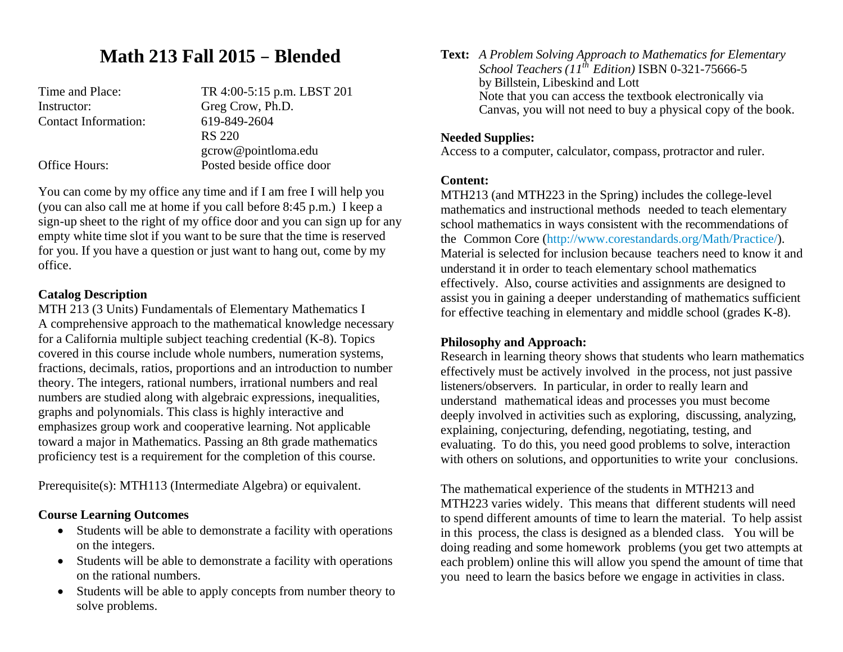## **Math 213 Fall 2015** – **Blended**

Instructor: Greg Crow, Ph.D. Contact Information: 619-849-2604

Time and Place: TR 4:00-5:15 p.m. LBST 201 RS 220 gcrow@pointloma.edu Office Hours: Posted beside office door

You can come by my office any time and if I am free I will help you (you can also call me at home if you call before 8:45 p.m.) I keep a sign-up sheet to the right of my office door and you can sign up for any empty white time slot if you want to be sure that the time is reserved for you. If you have a question or just want to hang out, come by my office.

#### **Catalog Description**

MTH 213 (3 Units) Fundamentals of Elementary Mathematics I A comprehensive approach to the mathematical knowledge necessary for a California multiple subject teaching credential (K-8). Topics covered in this course include whole numbers, numeration systems, fractions, decimals, ratios, proportions and an introduction to number theory. The integers, rational numbers, irrational numbers and real numbers are studied along with algebraic expressions, inequalities, graphs and polynomials. This class is highly interactive and emphasizes group work and cooperative learning. Not applicable toward a major in Mathematics. Passing an 8th grade mathematics proficiency test is a requirement for the completion of this course.

Prerequisite(s): MTH113 (Intermediate Algebra) or equivalent.

#### **Course Learning Outcomes**

- Students will be able to demonstrate a facility with operations on the integers.
- Students will be able to demonstrate a facility with operations on the rational numbers.
- $\bullet$  Students will be able to apply concepts from number theory to solve problems.

**Text:** *A Problem Solving Approach to Mathematics for Elementary School Teachers (11th Edition)* ISBN 0-321-75666-5 by Billstein, Libeskind and Lott Note that you can access the textbook electronically via Canvas, you will not need to buy a physical copy of the book.

#### **Needed Supplies:**

Access to a computer, calculator, compass, protractor and ruler.

#### **Content:**

MTH213 (and MTH223 in the Spring) includes the college-level mathematics and instructional methods needed to teach elementary school mathematics in ways consistent with the recommendations of the Common Core (http://www.corestandards.org/Math/Practice/). Material is selected for inclusion because teachers need to know it and understand it in order to teach elementary school mathematics effectively. Also, course activities and assignments are designed to assist you in gaining a deeper understanding of mathematics sufficient for effective teaching in elementary and middle school (grades K-8).

#### **Philosophy and Approach:**

Research in learning theory shows that students who learn mathematics effectively must be actively involved in the process, not just passive listeners/observers. In particular, in order to really learn and understand mathematical ideas and processes you must become deeply involved in activities such as exploring, discussing, analyzing, explaining, conjecturing, defending, negotiating, testing, and evaluating. To do this, you need good problems to solve, interaction with others on solutions, and opportunities to write your conclusions.

The mathematical experience of the students in MTH213 and MTH223 varies widely. This means that different students will need to spend different amounts of time to learn the material. To help assist in this process, the class is designed as a blended class. You will be doing reading and some homework problems (you get two attempts at each problem) online this will allow you spend the amount of time that you need to learn the basics before we engage in activities in class.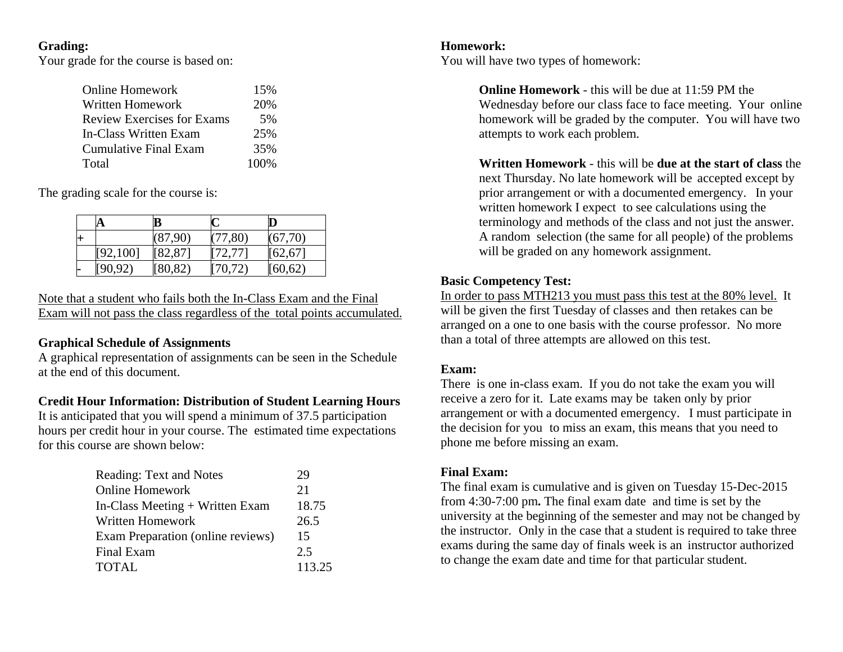#### **Grading:**

Your grade for the course is based on:

| <b>Online Homework</b>            | 15%  |
|-----------------------------------|------|
| Written Homework                  | 20%  |
| <b>Review Exercises for Exams</b> | 5%   |
| In-Class Written Exam             | 25%  |
| <b>Cumulative Final Exam</b>      | 35%  |
| Total                             | 100% |

The grading scale for the course is:

|   | Α         | B        |          |          |
|---|-----------|----------|----------|----------|
| Н |           | (87,90)  | (77, 80) | (67,70)  |
|   | [92, 100] | [82, 87] | [72, 77] | [62, 67] |
| − | [90.92]   | [80, 82] | [70, 72] | [60,62)  |

Note that a student who fails both the In-Class Exam and the Final Exam will not pass the class regardless of the total points accumulated.

#### **Graphical Schedule of Assignments**

A graphical representation of assignments can be seen in the Schedule at the end of this document.

#### **Credit Hour Information: Distribution of Student Learning Hours**

It is anticipated that you will spend a minimum of 37.5 participation hours per credit hour in your course. The estimated time expectations for this course are shown below:

| <b>Reading: Text and Notes</b>           | 29     |
|------------------------------------------|--------|
| <b>Online Homework</b>                   | 21     |
| In-Class Meeting + Written Exam          | 18.75  |
| <b>Written Homework</b>                  | 26.5   |
| <b>Exam Preparation (online reviews)</b> | 15     |
| Final Exam                               | 2.5    |
| TOTAL                                    | 113.25 |

### **Homework:**

You will have two types of homework:

**Online Homework** - this will be due at 11:59 PM the Wednesday before our class face to face meeting. Your online homework will be graded by the computer. You will have two attempts to work each problem.

**Written Homework** - this will be **due at the start of class** the next Thursday. No late homework will be accepted except by prior arrangement or with a documented emergency. In your written homework I expect to see calculations using the terminology and methods of the class and not just the answer. A random selection (the same for all people) of the problems will be graded on any homework assignment.

#### **Basic Competency Test:**

In order to pass MTH213 you must pass this test at the 80% level. It will be given the first Tuesday of classes and then retakes can be arranged on a one to one basis with the course professor. No more than a total of three attempts are allowed on this test.

#### **Exam:**

There is one in-class exam. If you do not take the exam you will receive a zero for it. Late exams may be taken only by prior arrangement or with a documented emergency. I must participate in the decision for you to miss an exam, this means that you need to phone me before missing an exam.

#### **Final Exam:**

The final exam is cumulative and is given on Tuesday 15-Dec-2015 from 4:30-7:00 pm**.** The final exam date and time is set by the university at the beginning of the semester and may not be changed by the instructor. Only in the case that a student is required to take three exams during the same day of finals week is an instructor authorized to change the exam date and time for that particular student.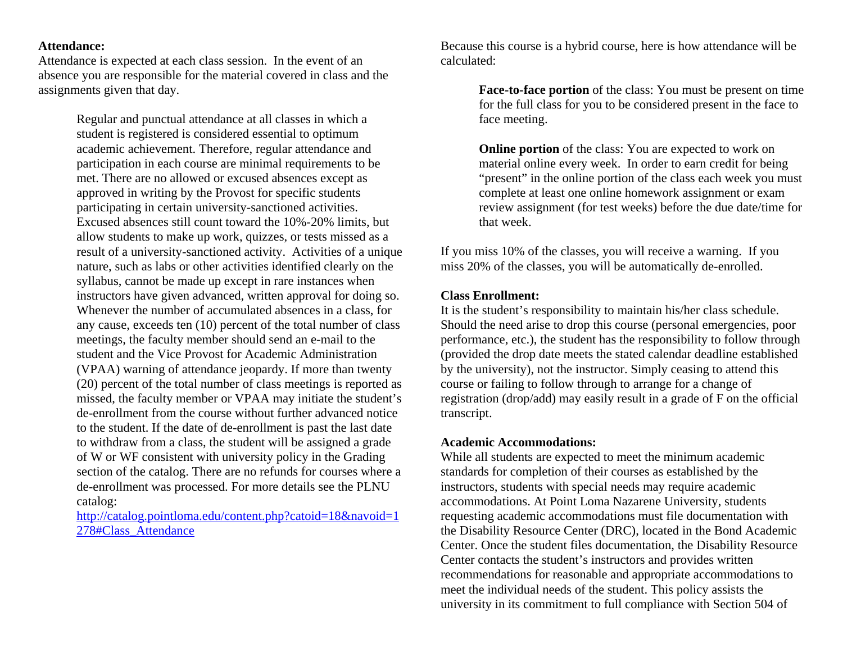#### **Attendance:**

Attendance is expected at each class session. In the event of an absence you are responsible for the material covered in class and the assignments given that day.

> Regular and punctual attendance at all classes in which a student is registered is considered essential to optimum academic achievement. Therefore, regular attendance and participation in each course are minimal requirements to be met. There are no allowed or excused absences except as approved in writing by the Provost for specific students participating in certain university-sanctioned activities. Excused absences still count toward the 10%-20% limits, but allow students to make up work, quizzes, or tests missed as a result of a university-sanctioned activity. Activities of a unique nature, such as labs or other activities identified clearly on the syllabus, cannot be made up except in rare instances when instructors have given advanced, written approval for doing so. Whenever the number of accumulated absences in a class, for any cause, exceeds ten (10) percent of the total number of class meetings, the faculty member should send an e-mail to the student and the Vice Provost for Academic Administration (VPAA) warning of attendance jeopardy. If more than twenty (20) percent of the total number of class meetings is reported as missed, the faculty member or VPAA may initiate the student's de-enrollment from the course without further advanced notice to the student. If the date of de-enrollment is past the last date to withdraw from a class, the student will be assigned a grade of W or WF consistent with university policy in the Grading section of the catalog. There are no refunds for courses where a de-enrollment was processed. For more details see the PLNU catalog:

http://catalog.pointloma.edu/content.php?catoid=18&navoid=1 278#Class\_Attendance

Because this course is a hybrid course, here is how attendance will be calculated:

> **Face-to-face portion** of the class: You must be present on time for the full class for you to be considered present in the face to face meeting.

> **Online portion** of the class: You are expected to work on material online every week. In order to earn credit for being "present" in the online portion of the class each week you must complete at least one online homework assignment or exam review assignment (for test weeks) before the due date/time for that week.

If you miss 10% of the classes, you will receive a warning. If you miss 20% of the classes, you will be automatically de-enrolled.

#### **Class Enrollment:**

It is the student's responsibility to maintain his/her class schedule. Should the need arise to drop this course (personal emergencies, poor performance, etc.), the student has the responsibility to follow through (provided the drop date meets the stated calendar deadline established by the university), not the instructor. Simply ceasing to attend this course or failing to follow through to arrange for a change of registration (drop/add) may easily result in a grade of F on the official transcript.

#### **Academic Accommodations:**

While all students are expected to meet the minimum academic standards for completion of their courses as established by the instructors, students with special needs may require academic accommodations. At Point Loma Nazarene University, students requesting academic accommodations must file documentation with the Disability Resource Center (DRC), located in the Bond Academic Center. Once the student files documentation, the Disability Resource Center contacts the student's instructors and provides written recommendations for reasonable and appropriate accommodations to meet the individual needs of the student. This policy assists the university in its commitment to full compliance with Section 504 of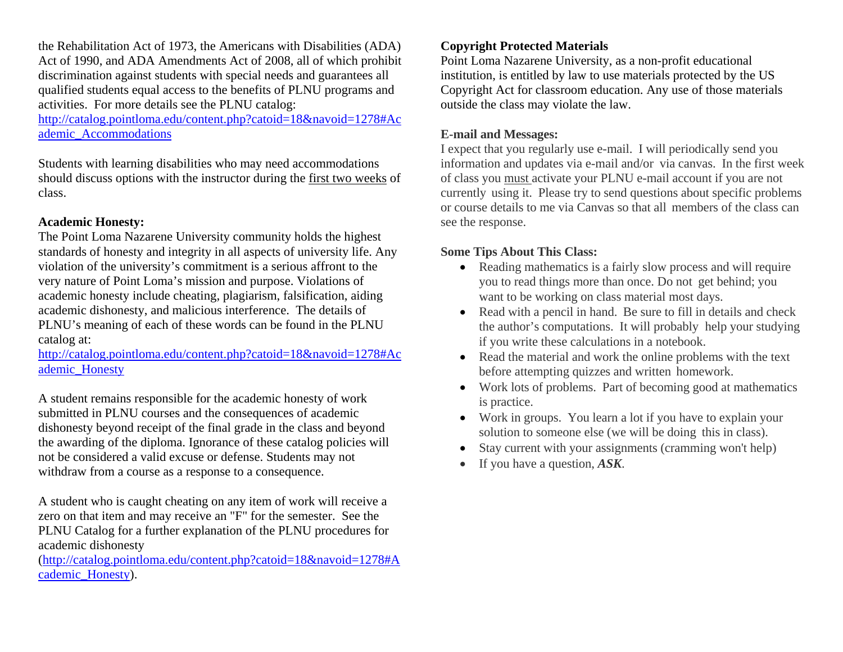the Rehabilitation Act of 1973, the Americans with Disabilities (ADA) Act of 1990, and ADA Amendments Act of 2008, all of which prohibit discrimination against students with special needs and guarantees all qualified students equal access to the benefits of PLNU programs and activities. For more details see the PLNU catalog:

http://catalog.pointloma.edu/content.php?catoid=18&navoid=1278#Ac ademic\_Accommodations

Students with learning disabilities who may need accommodations should discuss options with the instructor during the first two weeks of class.

#### **Academic Honesty:**

The Point Loma Nazarene University community holds the highest standards of honesty and integrity in all aspects of university life. Any violation of the university's commitment is a serious affront to the very nature of Point Loma's mission and purpose. Violations of academic honesty include cheating, plagiarism, falsification, aiding academic dishonesty, and malicious interference. The details of PLNU's meaning of each of these words can be found in the PLNU catalog at:

http://catalog.pointloma.edu/content.php?catoid=18&navoid=1278#Ac ademic\_Honesty

A student remains responsible for the academic honesty of work submitted in PLNU courses and the consequences of academic dishonesty beyond receipt of the final grade in the class and beyond the awarding of the diploma. Ignorance of these catalog policies will not be considered a valid excuse or defense. Students may not withdraw from a course as a response to a consequence.

A student who is caught cheating on any item of work will receive a zero on that item and may receive an "F" for the semester. See the PLNU Catalog for a further explanation of the PLNU procedures for academic dishonesty

(http://catalog.pointloma.edu/content.php?catoid=18&navoid=1278#A cademic\_Honesty).

#### **Copyright Protected Materials**

Point Loma Nazarene University, as a non-profit educational institution, is entitled by law to use materials protected by the US Copyright Act for classroom education. Any use of those materials outside the class may violate the law.

#### **E-mail and Messages:**

I expect that you regularly use e-mail. I will periodically send you information and updates via e-mail and/or via canvas. In the first week of class you must activate your PLNU e-mail account if you are not currently using it. Please try to send questions about specific problems or course details to me via Canvas so that all members of the class can see the response.

#### **Some Tips About This Class:**

- Reading mathematics is a fairly slow process and will require you to read things more than once. Do not get behind; you want to be working on class material most days.
- Read with a pencil in hand. Be sure to fill in details and check the author's computations. It will probably help your studying if you write these calculations in a notebook.
- Read the material and work the online problems with the text before attempting quizzes and written homework.
- Work lots of problems. Part of becoming good at mathematics is practice.
- Work in groups. You learn a lot if you have to explain your solution to someone else (we will be doing this in class).
- $\bullet$ Stay current with your assignments (cramming won't help)
- $\bullet$ If you have a question, *ASK*.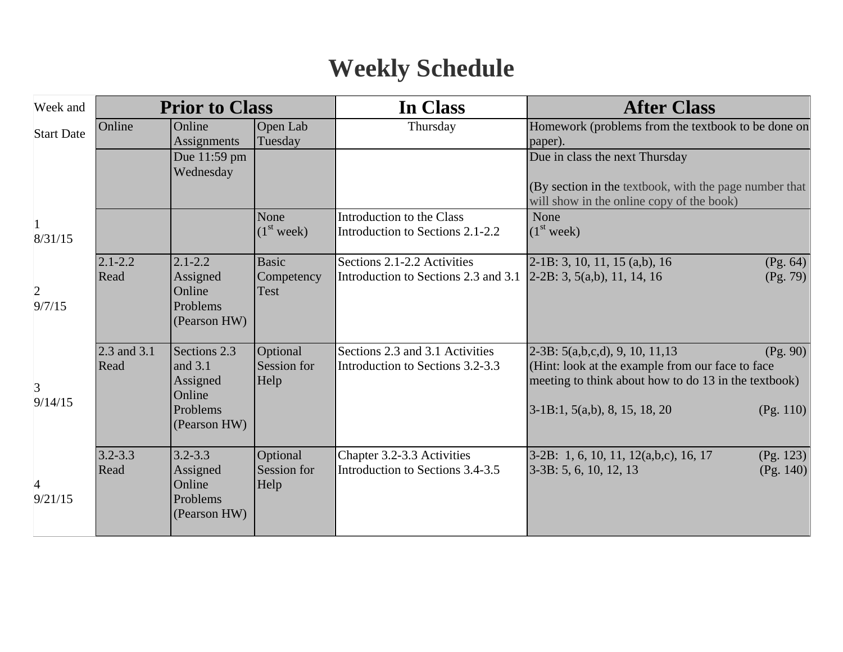# **Weekly Schedule**

| Week and                  | <b>Prior to Class</b> |                                                                           | In Class                           | <b>After Class</b>                                                                                                      |                                                                                                                                                                                                           |
|---------------------------|-----------------------|---------------------------------------------------------------------------|------------------------------------|-------------------------------------------------------------------------------------------------------------------------|-----------------------------------------------------------------------------------------------------------------------------------------------------------------------------------------------------------|
| <b>Start Date</b>         | Online                | Online<br>Assignments                                                     | Open Lab<br>Tuesday                | Thursday                                                                                                                | Homework (problems from the textbook to be done on<br>paper).                                                                                                                                             |
|                           |                       | Due 11:59 pm<br>Wednesday                                                 |                                    |                                                                                                                         | Due in class the next Thursday<br>(By section in the textbook, with the page number that<br>will show in the online copy of the book)                                                                     |
| $\mathbf{1}$<br>8/31/15   |                       |                                                                           | None<br>(1 <sup>st</sup> week)     | Introduction to the Class<br>Introduction to Sections 2.1-2.2                                                           | None<br>(1 <sup>st</sup> week)                                                                                                                                                                            |
| $\overline{2}$<br>9/7/15  | $2.1 - 2.2$<br>Read   | $2.1 - 2.2$<br>Assigned<br>Online<br>Problems<br>(Pearson HW)             | <b>Basic</b><br>Competency<br>Test | Sections 2.1-2.2 Activities<br>Introduction to Sections 2.3 and 3.1 $\left  2\text{-}2B: 3, 5(a,b), 11, 14, 16 \right $ | $2-1B: 3, 10, 11, 15 (a,b), 16$<br>(Pg. 64)<br>(Pg. 79)                                                                                                                                                   |
| 3<br>9/14/15              | 2.3 and 3.1<br>Read   | Sections 2.3<br>and 3.1<br>Assigned<br>Online<br>Problems<br>(Pearson HW) | Optional<br>Session for<br>Help    | Sections 2.3 and 3.1 Activities<br>Introduction to Sections 3.2-3.3                                                     | $2-3B: 5(a,b,c,d), 9, 10, 11, 13$<br>(Pg. 90)<br>(Hint: look at the example from our face to face<br>meeting to think about how to do 13 in the textbook)<br>$3-1B:1, 5(a,b), 8, 15, 18, 20$<br>(Pg. 110) |
| $\overline{4}$<br>9/21/15 | $3.2 - 3.3$<br>Read   | $3.2 - 3.3$<br>Assigned<br>Online<br>Problems<br>(Pearson HW)             | Optional<br>Session for<br>Help    | Chapter 3.2-3.3 Activities<br>Introduction to Sections 3.4-3.5                                                          | 3-2B: 1, 6, 10, 11, 12(a,b,c), 16, 17<br>(Pg. 123)<br>$[3-3B: 5, 6, 10, 12, 13]$<br>(Pg. 140)                                                                                                             |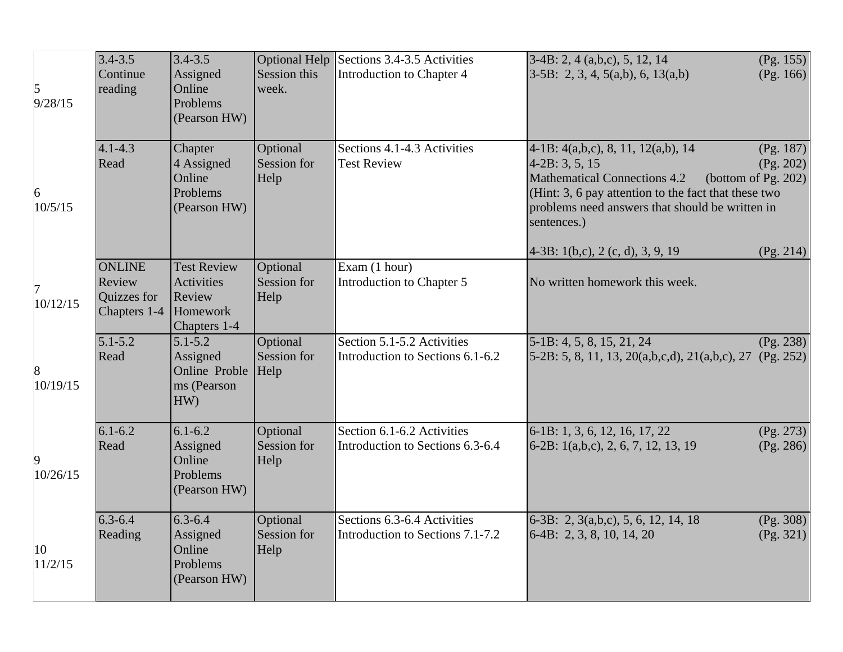| 5<br>9/28/15               | $3.4 - 3.5$<br>Continue<br>reading                     | $3.4 - 3.5$<br>Assigned<br>Online<br>Problems<br>(Pearson HW)          | <b>Optional Help</b><br>Session this<br>week. | Sections 3.4-3.5 Activities<br>Introduction to Chapter 4        | $3-4B: 2, 4(a,b,c), 5, 12, 14$<br>$3-5B$ : 2, 3, 4, 5(a,b), 6, 13(a,b)                                                                                                                                                    | (Pg. 155)<br>(Pg. 166)                        |
|----------------------------|--------------------------------------------------------|------------------------------------------------------------------------|-----------------------------------------------|-----------------------------------------------------------------|---------------------------------------------------------------------------------------------------------------------------------------------------------------------------------------------------------------------------|-----------------------------------------------|
| 6<br>10/5/15               | $4.1 - 4.3$<br>Read                                    | Chapter<br>4 Assigned<br>Online<br>Problems<br>(Pearson HW)            | Optional<br>Session for<br>Help               | Sections 4.1-4.3 Activities<br><b>Test Review</b>               | $4-1B: 4(a,b,c), 8, 11, 12(a,b), 14$<br>$4-2B: 3, 5, 15$<br><b>Mathematical Connections 4.2</b><br>(Hint: 3, 6 pay attention to the fact that these two<br>problems need answers that should be written in<br>sentences.) | (Pg. 187)<br>(Pg. 202)<br>(bottom of Pg. 202) |
| $\overline{7}$<br>10/12/15 | <b>ONLINE</b><br>Review<br>Quizzes for<br>Chapters 1-4 | <b>Test Review</b><br>Activities<br>Review<br>Homework<br>Chapters 1-4 | Optional<br>Session for<br>Help               | Exam (1 hour)<br>Introduction to Chapter 5                      | $4-3B: 1(b,c), 2(c, d), 3, 9, 19$<br>No written homework this week.                                                                                                                                                       | (Pg. 214)                                     |
| 8<br>10/19/15              | $5.1 - 5.2$<br>Read                                    | $5.1 - 5.2$<br>Assigned<br>Online Proble<br>ms (Pearson<br>HW)         | Optional<br>Session for<br>Help               | Section 5.1-5.2 Activities<br>Introduction to Sections 6.1-6.2  | 5-1B: 4, 5, 8, 15, 21, 24<br>$5-2B: 5, 8, 11, 13, 20(a,b,c,d), 21(a,b,c), 27$                                                                                                                                             | (Pg. 238)<br>(Pg. 252)                        |
| 9<br>10/26/15              | $6.1 - 6.2$<br>Read                                    | $6.1 - 6.2$<br>Assigned<br>Online<br>Problems<br>(Pearson HW)          | Optional<br>Session for<br>Help               | Section 6.1-6.2 Activities<br>Introduction to Sections 6.3-6.4  | 6-1B: 1, 3, 6, 12, 16, 17, 22<br>6-2B: 1(a,b,c), 2, 6, 7, 12, 13, 19                                                                                                                                                      | (Pg. 273)<br>(Pg. 286)                        |
| 10<br>11/2/15              | $6.3 - 6.4$<br>Reading                                 | $6.3 - 6.4$<br>Assigned<br>Online<br>Problems<br>(Pearson HW)          | Optional<br>Session for<br>Help               | Sections 6.3-6.4 Activities<br>Introduction to Sections 7.1-7.2 | 6-3B: 2, 3(a,b,c), 5, 6, 12, 14, 18<br>$6-4B: 2, 3, 8, 10, 14, 20$                                                                                                                                                        | (Pg. 308)<br>(Pg. 321)                        |